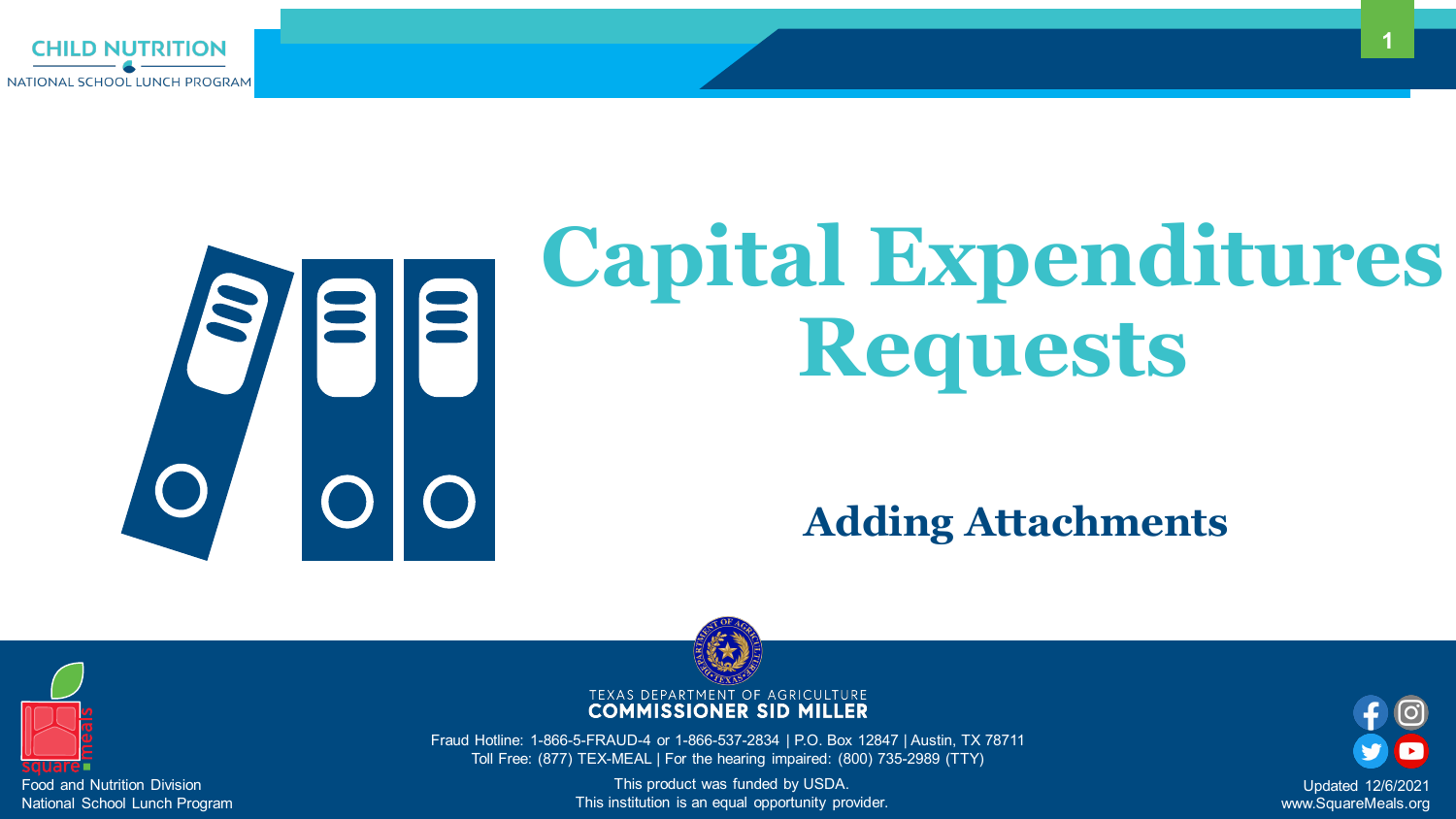

# S 88

Fraud Hotline: 1-866-5-FRAUD-4 or 1-866-537-2834 | P.O. Box 12847 | Austin, TX 78711 Toll Free: (877) TEX-MEAL | For the hearing impaired: (800) 735-2989 (TTY)





This product was funded by USDA. This institution is an equal opportunity provider.

## **Capital Expenditures Requests**

### **Adding Attachments**







Updated 12/6/2021 www.SquareMeals.org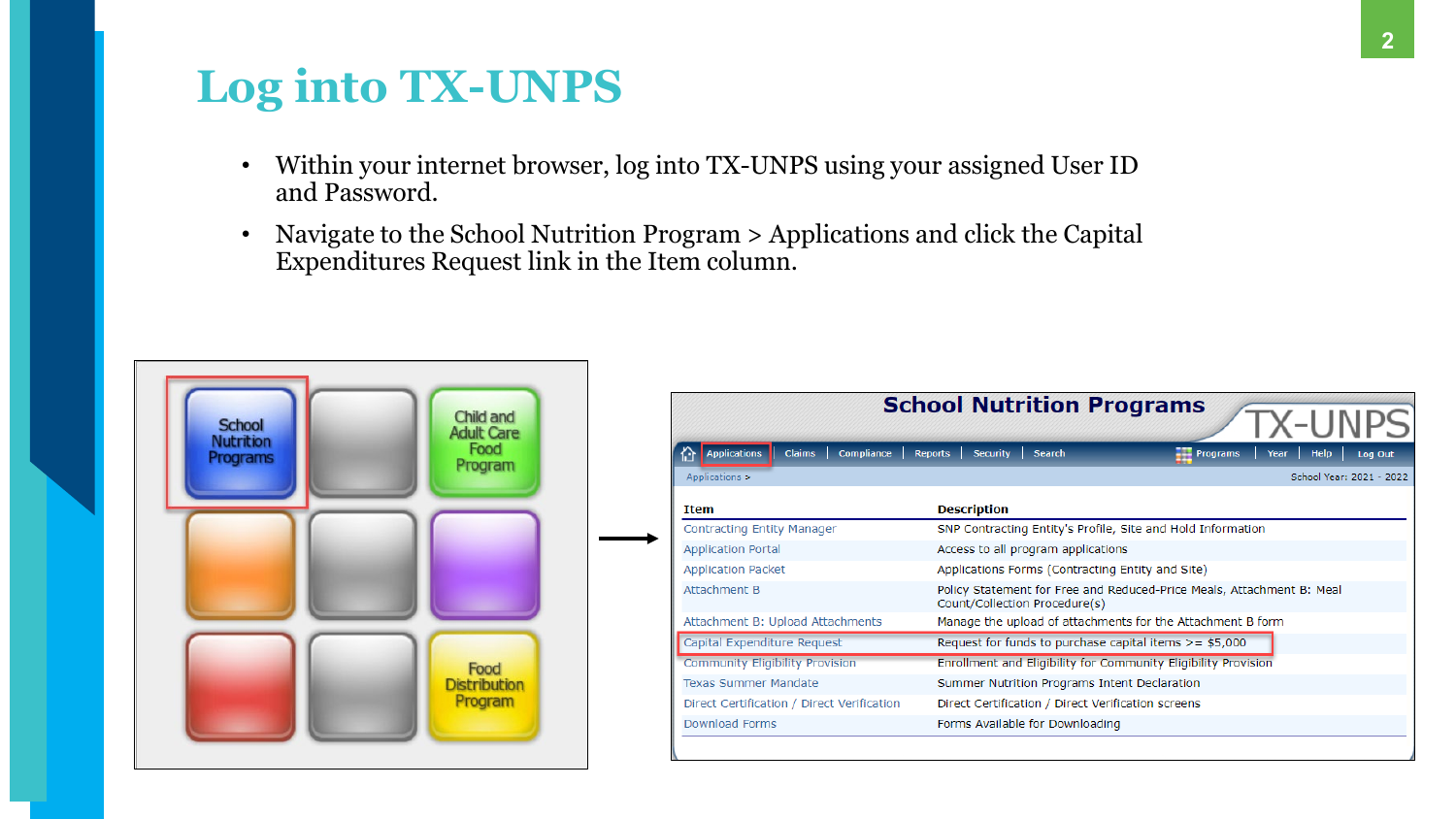2

- Within your internet browser, log into TX-UNPS using your assigned User ID and Password.
- Navigate to the School Nutrition Program > Applications and click the Capital Expenditures Request link in the Item column.



|                                                    | <b>School Nutrition Prog</b>                                         |  |  |  |
|----------------------------------------------------|----------------------------------------------------------------------|--|--|--|
| <b>Applications</b><br><b>Claims</b><br>Compliance | <b>Security</b><br><b>Reports</b><br><b>Search</b>                   |  |  |  |
| Applications >                                     |                                                                      |  |  |  |
| <b>Item</b>                                        | <b>Description</b>                                                   |  |  |  |
| Contracting Entity Manager                         | SNP Contracting Entity's Profile, Site                               |  |  |  |
| <b>Application Portal</b>                          | Access to all program applications                                   |  |  |  |
| <b>Application Packet</b>                          | Applications Forms (Contracting Ent                                  |  |  |  |
| Attachment B                                       | Policy Statement for Free and Reduc<br>Count/Collection Procedure(s) |  |  |  |
| Attachment B: Upload Attachments                   | Manage the upload of attachments f                                   |  |  |  |
| Capital Expenditure Request                        | Request for funds to purchase capita                                 |  |  |  |
| <b>Community Eligibility Provision</b>             | Enrollment and Eligibility for Commu                                 |  |  |  |
| <b>Texas Summer Mandate</b>                        | Summer Nutrition Programs Intent I                                   |  |  |  |
| Direct Certification / Direct Verification         | Direct Certification / Direct Verificati                             |  |  |  |
| Download Forms                                     | Forms Available for Downloading                                      |  |  |  |





## **Log into TX-UNPS**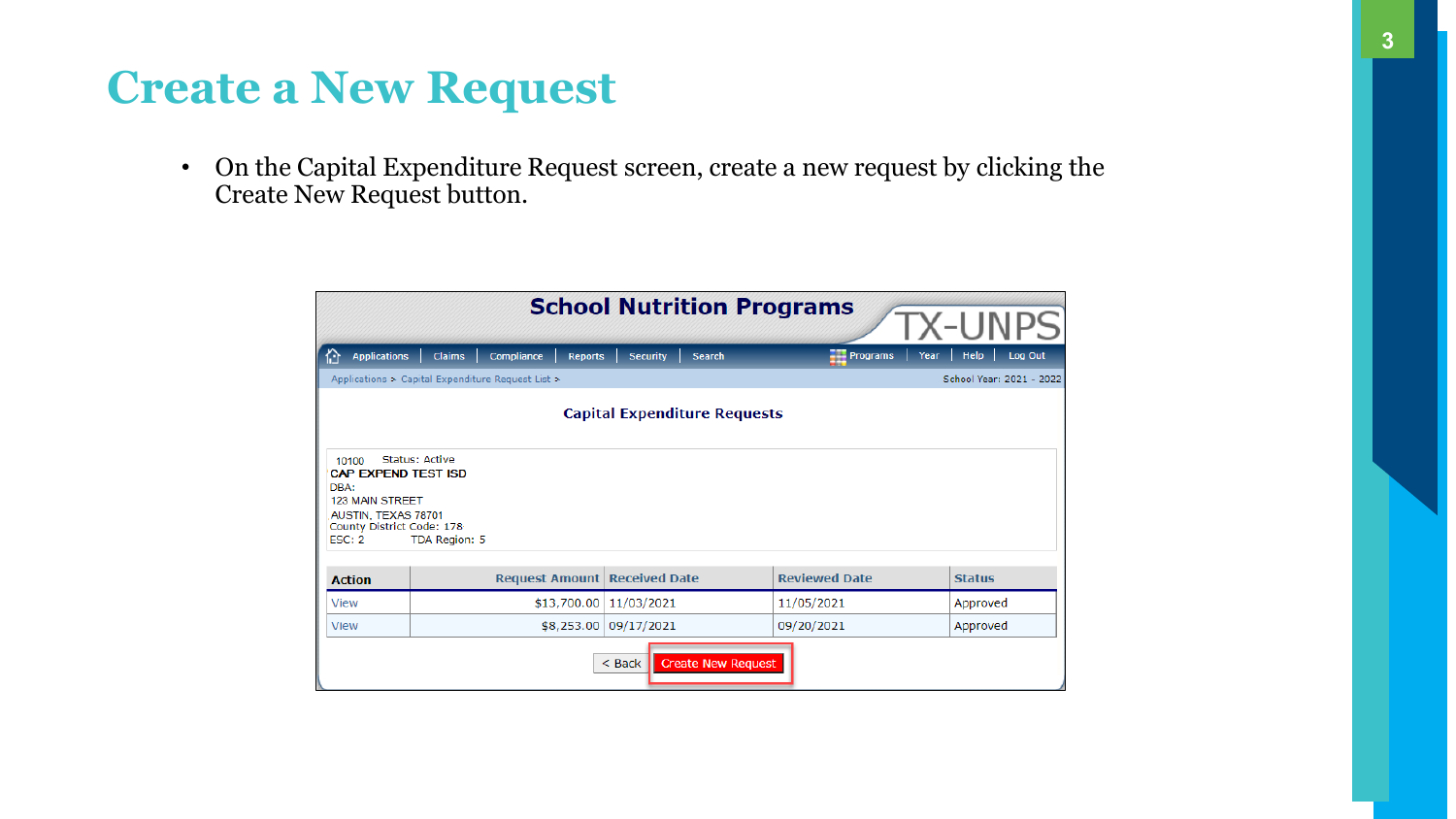

• On the Capital Expenditure Request screen, create a new request by clicking the Create New Request button.

|                                                                                                                              |                                                      | <b>School Nutrition Programs</b>    |                      | <b>X-UNPS</b>                  |  |
|------------------------------------------------------------------------------------------------------------------------------|------------------------------------------------------|-------------------------------------|----------------------|--------------------------------|--|
| <b>Applications</b><br>份                                                                                                     | <b>Claims</b><br><b>Compliance</b><br><b>Reports</b> | <b>Security</b><br><b>Search</b>    | <b>Programs</b>      | <b>Help</b><br>Log Out<br>Year |  |
|                                                                                                                              | Applications > Capital Expenditure Request List >    |                                     |                      | School Year: 2021 - 2022       |  |
|                                                                                                                              |                                                      | <b>Capital Expenditure Requests</b> |                      |                                |  |
| 10100<br><b>CAP EXPEND TEST ISD</b><br>DBA:<br>123 MAIN STREET<br>AUSTIN, TEXAS 78701<br>County District Code: 178<br>ESC: 2 | <b>Status: Active</b><br>TDA Region: 5               |                                     |                      |                                |  |
| <b>Action</b>                                                                                                                | <b>Request Amount</b>                                | <b>Received Date</b>                | <b>Reviewed Date</b> | <b>Status</b>                  |  |
| <b>View</b>                                                                                                                  | \$13,700.00                                          | 11/03/2021                          | 11/05/2021           | Approved                       |  |
| <b>View</b>                                                                                                                  | \$8,253.00                                           | 09/17/2021                          | 09/20/2021           | Approved                       |  |
| <b>Create New Request</b><br>$<$ Back                                                                                        |                                                      |                                     |                      |                                |  |

### **Create a New Request**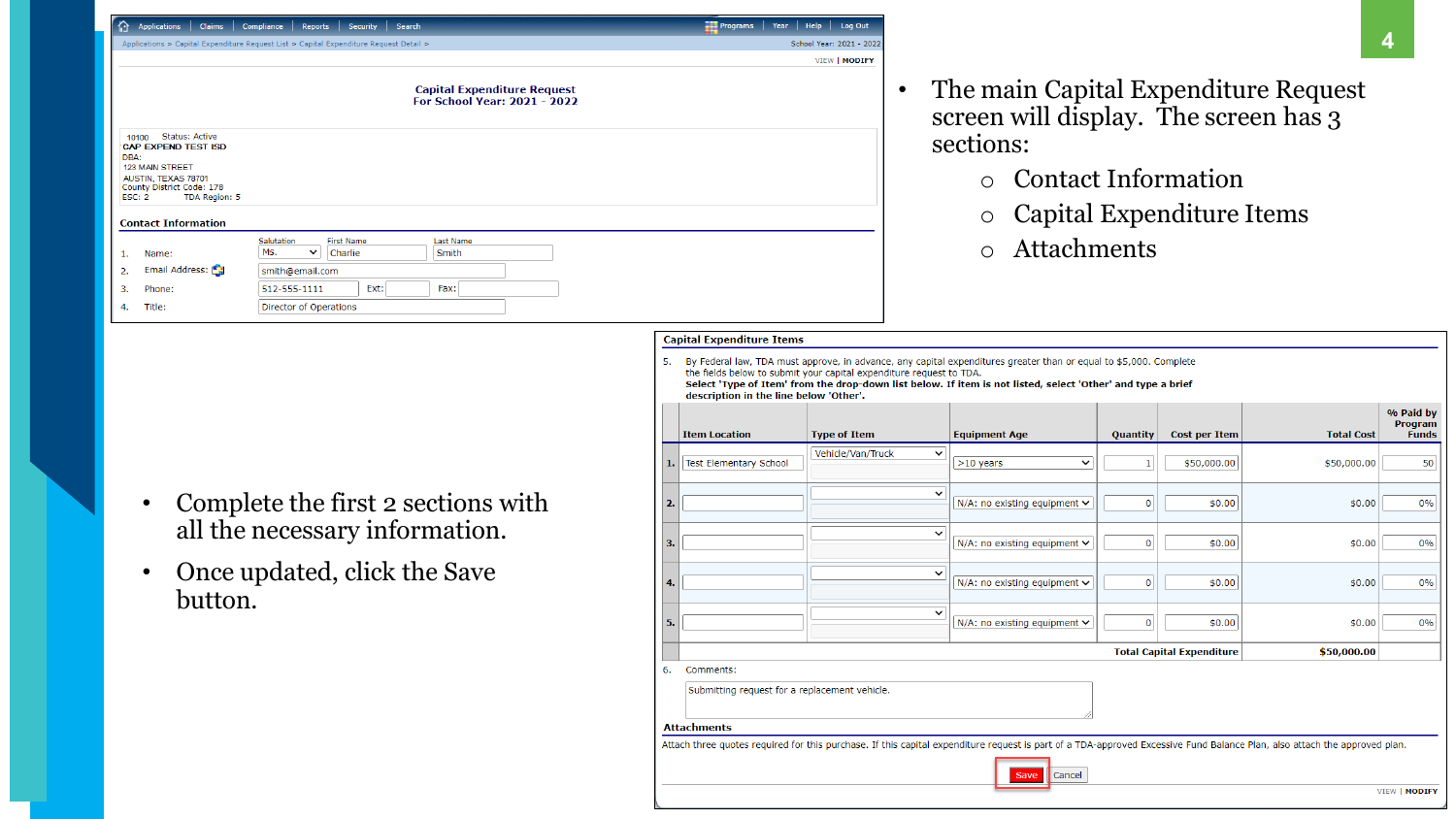### 4 **4**

## The main Capital Expenditure Request

| 份.<br>Claims<br><b>Applications</b>                                                                                                                                                           | Compliance<br><b>Security</b><br><b>Search</b><br><b>Reports</b>                        | $\frac{1}{2}$ Programs<br>Help<br>Log Out<br>Year |
|-----------------------------------------------------------------------------------------------------------------------------------------------------------------------------------------------|-----------------------------------------------------------------------------------------|---------------------------------------------------|
|                                                                                                                                                                                               | Applications > Capital Expenditure Request List > Capital Expenditure Request Detail >  | School Year: 2021 - 2022                          |
|                                                                                                                                                                                               |                                                                                         | VIEW   MODIFY                                     |
|                                                                                                                                                                                               | <b>Capital Expenditure Request</b><br><b>For School Year: 2021 - 2022</b>               |                                                   |
| Status: Active<br>10100<br><b>CAP EXPEND TEST ISD</b><br>DBA:<br>123 MAIN STREET<br>AUSTIN, TEXAS 78701<br>County District Code: 178<br>ESC: 2<br>TDA Region: 5<br><b>Contact Information</b> |                                                                                         |                                                   |
|                                                                                                                                                                                               |                                                                                         |                                                   |
| Name:<br>1.                                                                                                                                                                                   | Salutation<br><b>First Name</b><br>Last Name<br>Ms.<br>Charlie<br>Smith<br>$\checkmark$ |                                                   |
| Email Address:<br>2.                                                                                                                                                                          | smith@email.com                                                                         |                                                   |
| Phone:<br>з.                                                                                                                                                                                  | Ext:<br>Fax:<br>512-555-1111                                                            |                                                   |
| Title:<br>4.                                                                                                                                                                                  | Director of Operations                                                                  |                                                   |

- screen will display. The screen has 3 sections:
	- o Contact Information
	-
	- o Attachments

## o Capital Expenditure Items

- Complete the first 2 sections with all the necessary information.
- Once updated, click the Save button.

|    | <b>Capital Expenditure Items</b>                                                                                                                                                            |                                                                     |                                                                                                                                                                                                                                  |          |                                  |                   |                                             |  |  |
|----|---------------------------------------------------------------------------------------------------------------------------------------------------------------------------------------------|---------------------------------------------------------------------|----------------------------------------------------------------------------------------------------------------------------------------------------------------------------------------------------------------------------------|----------|----------------------------------|-------------------|---------------------------------------------|--|--|
| 5. | description in the line below 'Other'.                                                                                                                                                      | the fields below to submit your capital expenditure request to TDA. | By Federal law, TDA must approve, in advance, any capital expenditures greater than or equal to \$5,000. Complete<br>Select 'Type of Item' from the drop-down list below. If item is not listed, select 'Other' and type a brief |          |                                  |                   |                                             |  |  |
|    | <b>Item Location</b>                                                                                                                                                                        | <b>Type of Item</b>                                                 | <b>Equipment Age</b>                                                                                                                                                                                                             | Quantity | <b>Cost per Item</b>             | <b>Total Cost</b> | % Paid by<br><b>Program</b><br><b>Funds</b> |  |  |
| 1. | Test Elementary School                                                                                                                                                                      | Vehicle/Van/Truck<br>$\checkmark$                                   | $>10$ years<br>◡                                                                                                                                                                                                                 | 1        | \$50,000.00                      | \$50,000.00       | 50                                          |  |  |
| 2. |                                                                                                                                                                                             | $\check{ }$                                                         | N/A: no existing equipment $\vee$                                                                                                                                                                                                | 0        | \$0.00                           | \$0.00            | 0%                                          |  |  |
| з. |                                                                                                                                                                                             | ◡                                                                   | N/A: no existing equipment $\vee$                                                                                                                                                                                                | 0        | \$0.00                           | \$0.00            | 0%                                          |  |  |
| 4. |                                                                                                                                                                                             | 丷                                                                   | N/A: no existing equipment $\vee$                                                                                                                                                                                                | 0        | \$0.00                           | \$0.00            | 0%                                          |  |  |
| 5. |                                                                                                                                                                                             | ◡                                                                   | N/A: no existing equipment $\vee$                                                                                                                                                                                                | 0        | \$0.00                           | \$0.00            | 0%                                          |  |  |
|    |                                                                                                                                                                                             |                                                                     |                                                                                                                                                                                                                                  |          | <b>Total Capital Expenditure</b> | \$50,000.00       |                                             |  |  |
| 6. | Comments:<br>Submitting request for a replacement vehicle.                                                                                                                                  |                                                                     |                                                                                                                                                                                                                                  |          |                                  |                   |                                             |  |  |
|    | <b>Attachments</b>                                                                                                                                                                          |                                                                     |                                                                                                                                                                                                                                  |          |                                  |                   |                                             |  |  |
|    | Attach three quotes required for this purchase. If this capital expenditure request is part of a TDA-approved Excessive Fund Balance Plan, also attach the approved plan.<br>Cancel<br>Save |                                                                     |                                                                                                                                                                                                                                  |          |                                  |                   |                                             |  |  |
|    |                                                                                                                                                                                             |                                                                     |                                                                                                                                                                                                                                  |          |                                  |                   | VIEW   MODIFY                               |  |  |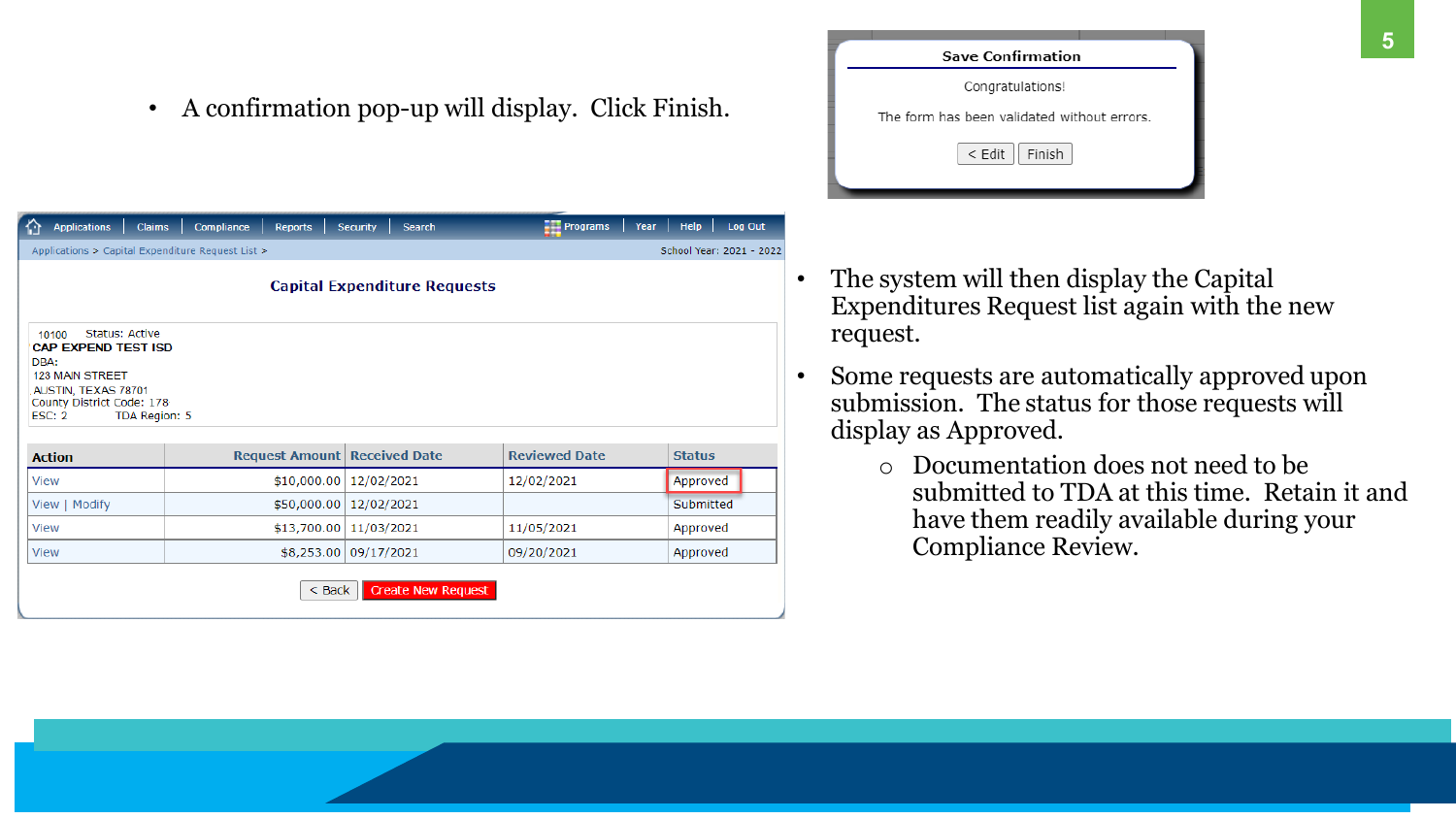• A confirmation pop-up will display. Click Finish.

| 仚<br><b>Applications</b><br><b>Claims</b>                                                                                                                                     | <b>Compliance</b><br><b>Reports</b> | <b>Security</b><br><b>Search</b>    | $\frac{1}{2}$ Programs | <b>Help</b><br>Log Out<br>Year |  |
|-------------------------------------------------------------------------------------------------------------------------------------------------------------------------------|-------------------------------------|-------------------------------------|------------------------|--------------------------------|--|
| Applications > Capital Expenditure Request List >                                                                                                                             |                                     |                                     |                        | School Year: 2021 - 2022       |  |
|                                                                                                                                                                               |                                     | <b>Capital Expenditure Requests</b> |                        |                                |  |
| <b>Status: Active</b><br>10100<br><b>CAP EXPEND TEST ISD</b><br>DBA:<br><b>123 MAIN STREET</b><br>AUSTIN, TEXAS 78701<br>County District Code: 178<br>TDA Region: 5<br>ESC: 2 |                                     |                                     |                        |                                |  |
| <b>Action</b>                                                                                                                                                                 | <b>Request Amount</b>               | <b>Received Date</b>                | <b>Reviewed Date</b>   | <b>Status</b>                  |  |
| <b>View</b>                                                                                                                                                                   | \$10,000.00                         | 12/02/2021                          | 12/02/2021             | Approved                       |  |
| View   Modify                                                                                                                                                                 | \$50,000.00                         | 12/02/2021                          |                        | Submitted                      |  |
| <b>View</b>                                                                                                                                                                   | \$13,700.00                         | 11/03/2021                          | 11/05/2021             | Approved                       |  |
| <b>View</b>                                                                                                                                                                   |                                     | \$8,253.00 09/17/2021               | 09/20/2021             | Approved                       |  |
|                                                                                                                                                                               | $<$ Back                            | <b>Create New Request</b>           |                        |                                |  |



- The system will then display the Capital Expenditures Request list again with the new request.
- Some requests are automatically approved upon submission. The status for those requests will display as Approved.
	- o Documentation does not need to be have them readily available during your Compliance Review.

submitted to TDA at this time. Retain it and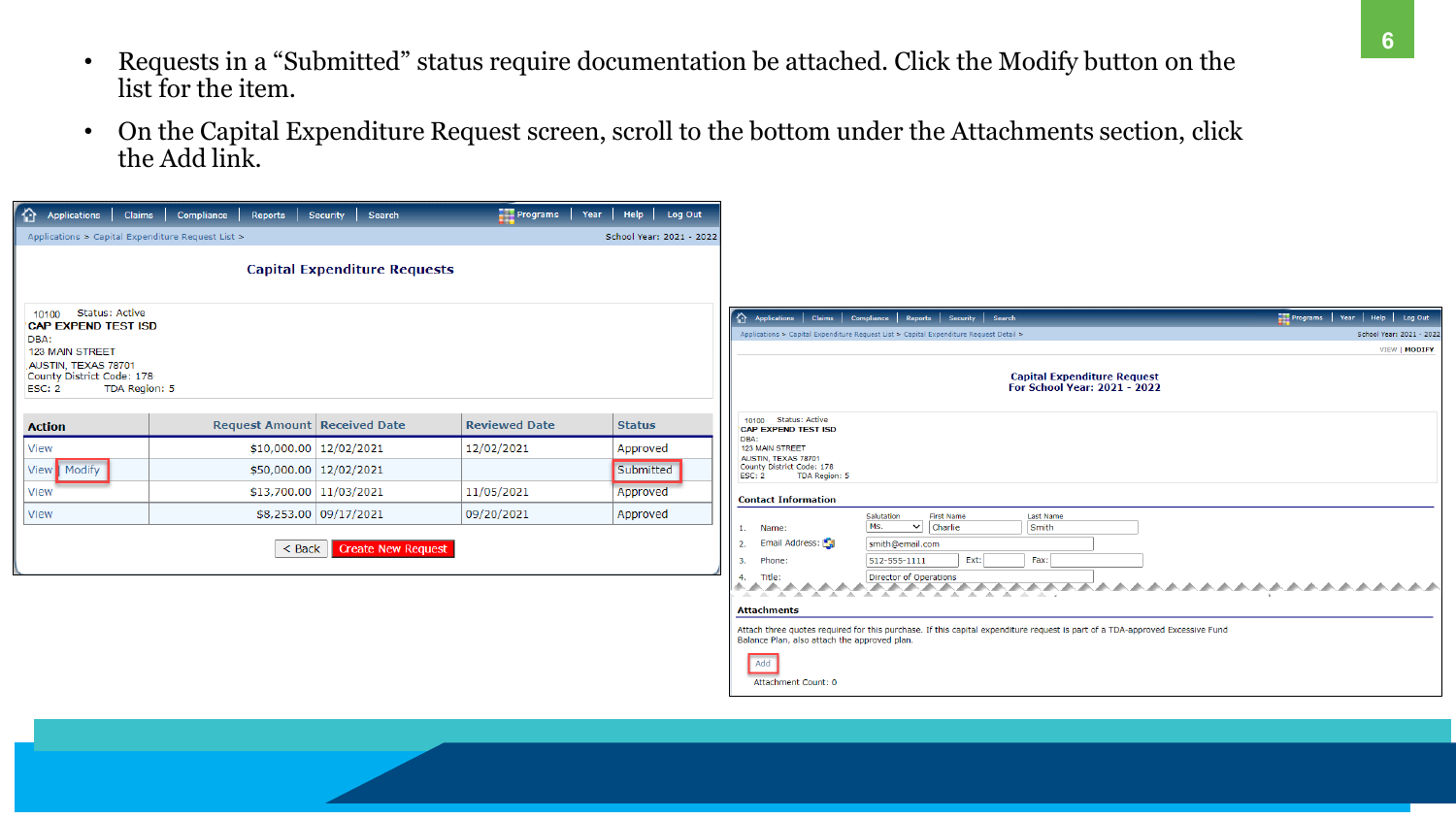**<sup>6</sup>** 6

- Requests in a "Submitted" status require documentation be attached. Click the Modify button on the list for the item.
- On the Capital Expenditure Request screen, scroll to the bottom under the Attachments section, click the Add link.

| ⇧<br>Applications<br><b>Claims</b>                   | <b>Compliance</b><br>Reports          | <b>Search</b><br>Security           | $\frac{1}{2}$ Programs | Help   Log Out<br>Year   |
|------------------------------------------------------|---------------------------------------|-------------------------------------|------------------------|--------------------------|
| Applications > Capital Expenditure Request List >    |                                       |                                     |                        | School Year: 2021 - 2022 |
|                                                      |                                       |                                     |                        |                          |
|                                                      |                                       | <b>Capital Expenditure Requests</b> |                        |                          |
| Status: Active<br>10100                              |                                       |                                     |                        |                          |
| <b>CAP EXPEND TEST ISD</b><br>DBA:                   |                                       |                                     |                        |                          |
| 123 MAIN STREET<br>AUSTIN, TEXAS 78701               |                                       |                                     |                        |                          |
| County District Code: 178<br>ESC: 2<br>TDA Region: 5 |                                       |                                     |                        |                          |
|                                                      |                                       |                                     |                        |                          |
| <b>Action</b>                                        | <b>Request Amount   Received Date</b> |                                     | <b>Reviewed Date</b>   | <b>Status</b>            |
| <b>View</b>                                          |                                       | \$10,000.00   12/02/2021            | 12/02/2021             | Approved                 |
| View   Modify                                        |                                       | \$50,000.00   12/02/2021            |                        | Submitted                |
| <b>View</b>                                          |                                       | \$13,700.00 11/03/2021              | 11/05/2021             | Approved                 |
| <b>View</b>                                          |                                       | \$8,253.00 09/17/2021               | 09/20/2021             | Approved                 |
|                                                      | $<$ Back                              | <b>Create New Request</b>           |                        |                          |
|                                                      |                                       |                                     |                        |                          |
|                                                      |                                       |                                     |                        |                          |
|                                                      |                                       |                                     |                        |                          |
|                                                      |                                       |                                     |                        |                          |
|                                                      |                                       |                                     |                        |                          |
|                                                      |                                       |                                     |                        |                          |

|                       | $\frac{1}{2}$ Programs $\left  \begin{array}{c} \text{Year} \\ \text{Year} \end{array} \right $ Help $\left  \begin{array}{c} \text{Log Out} \\ \end{array} \right $ |  |                          |
|-----------------------|----------------------------------------------------------------------------------------------------------------------------------------------------------------------|--|--------------------------|
|                       |                                                                                                                                                                      |  | School Year: 2021 - 2022 |
|                       |                                                                                                                                                                      |  | VIEW   MODIFY            |
| uest<br>2022          |                                                                                                                                                                      |  |                          |
|                       |                                                                                                                                                                      |  |                          |
|                       |                                                                                                                                                                      |  |                          |
|                       |                                                                                                                                                                      |  |                          |
|                       |                                                                                                                                                                      |  |                          |
|                       |                                                                                                                                                                      |  |                          |
|                       |                                                                                                                                                                      |  |                          |
| proved Excessive Fund |                                                                                                                                                                      |  |                          |
|                       |                                                                                                                                                                      |  |                          |
|                       |                                                                                                                                                                      |  |                          |
|                       |                                                                                                                                                                      |  |                          |
|                       |                                                                                                                                                                      |  |                          |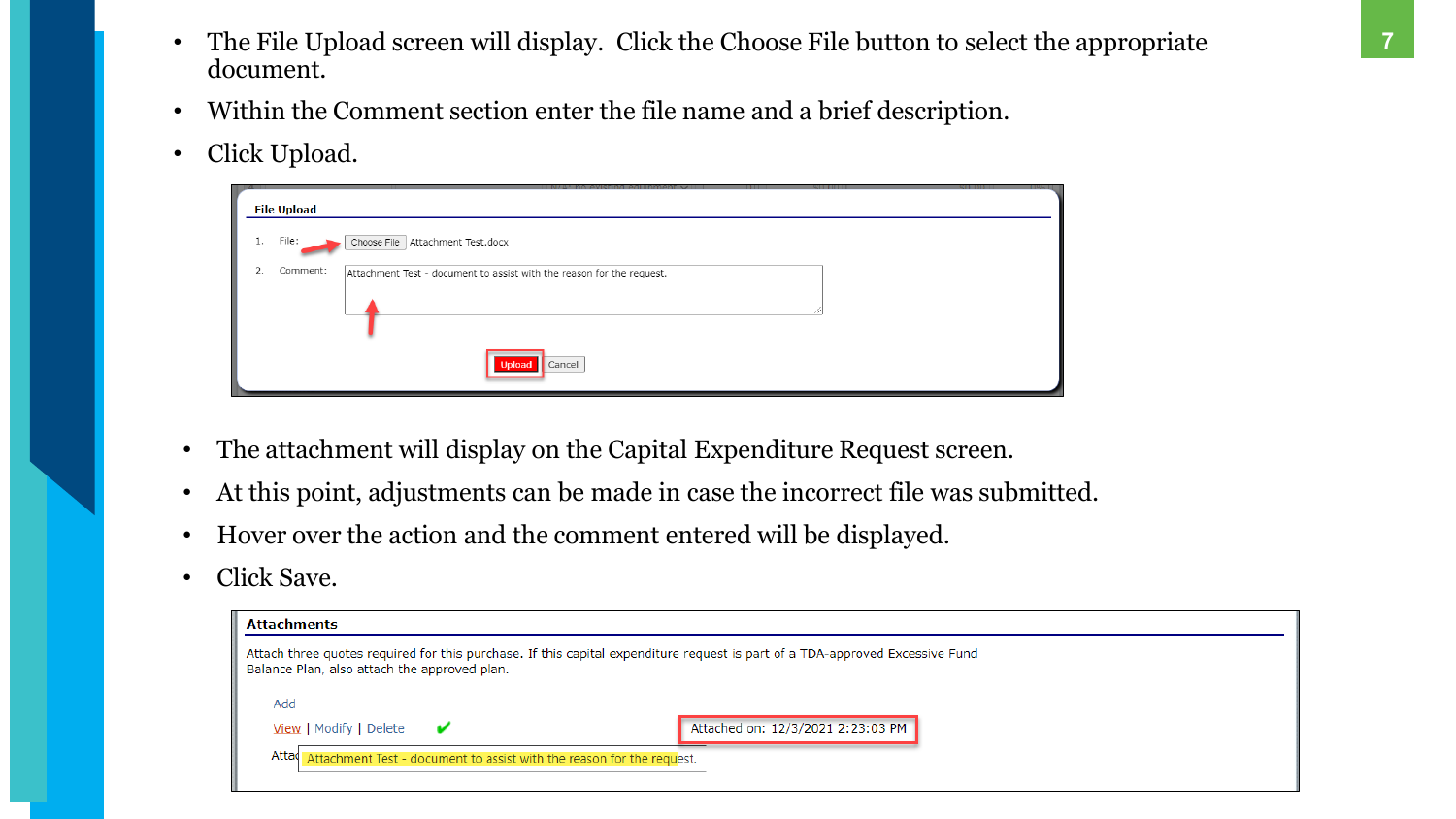- The File Upload screen will display. Click the Choose File button to select the appropriate document.
- Within the Comment section enter the file name and a brief description.
- Click Upload.

| . .<br>$-4$ | $-1$<br><b>File Upload</b>                                                        | ---- |
|-------------|-----------------------------------------------------------------------------------|------|
| 1.          | File:<br>Choose File   Attachment Test.docx                                       |      |
| 2.          | Comment:<br>Attachment Test - document to assist with the reason for the request. |      |
|             | Cancel<br><b>Upload</b>                                                           |      |



- The attachment will display on the Capital Expenditure Request screen.
- At this point, adjustments can be made in case the incorrect file was submitted.
- Hover over the action and the comment entered will be displayed.
- Click Save.

| <b>Attachments</b>                                                                                                                                                           |  |  |  |  |
|------------------------------------------------------------------------------------------------------------------------------------------------------------------------------|--|--|--|--|
| Attach three quotes required for this purchase. If this capital expenditure request is part of a TDA-approved Excessive Fund<br>Balance Plan, also attach the approved plan. |  |  |  |  |
| Add                                                                                                                                                                          |  |  |  |  |
| Attached on: 12/3/2021 2:23:03 PM<br>View   Modify   Delete<br>$\mathbf{v}$                                                                                                  |  |  |  |  |
| Attad<br>Attachment Test - document to assist with the reason for the request.                                                                                               |  |  |  |  |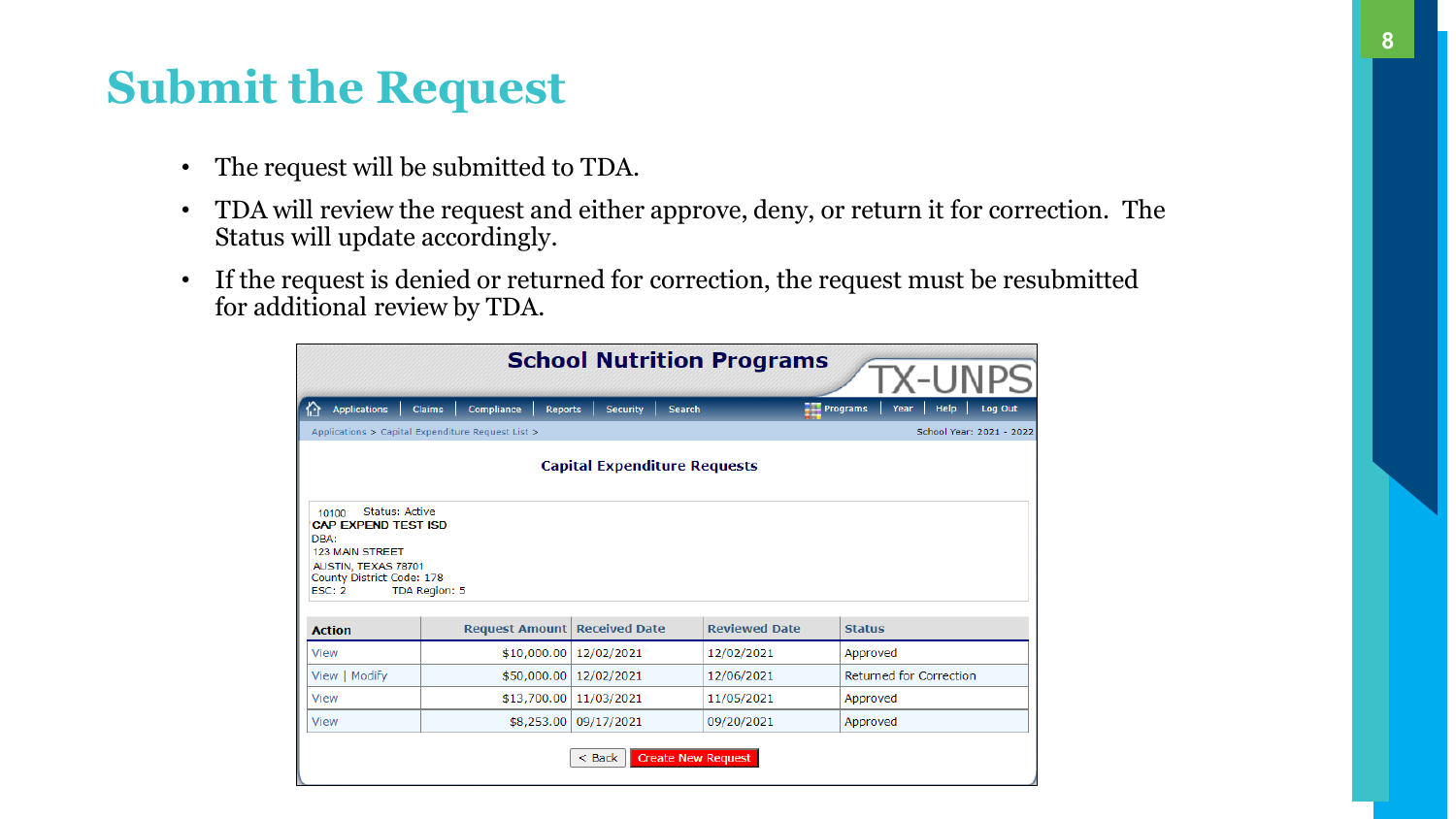- **8**
- 
- 
- 
- 
- 
- 
- 
- 
- 
- 
- The request will be submitted to TDA.
- TDA will review the request and either approve, deny, or return it for correction. The Status will update accordingly.
- If the request is denied or returned for correction, the request must be resubmitted for additional review by TDA.

| <b>School Nutrition Programs</b><br>X-UNI                 |                                                                                                                                                                                                                             |                          |               |                                                   |  |  |  |  |
|-----------------------------------------------------------|-----------------------------------------------------------------------------------------------------------------------------------------------------------------------------------------------------------------------------|--------------------------|---------------|---------------------------------------------------|--|--|--|--|
| <b>Applications</b><br>位                                  | Compliance<br><b>Claims</b><br>Reports                                                                                                                                                                                      | <b>Security</b>          | <b>Search</b> | Help<br>Log Out<br>$\frac{1}{2}$ Programs<br>Year |  |  |  |  |
|                                                           | School Year: 2021 - 2022<br>Applications > Capital Expenditure Request List >                                                                                                                                               |                          |               |                                                   |  |  |  |  |
|                                                           | <b>Capital Expenditure Requests</b>                                                                                                                                                                                         |                          |               |                                                   |  |  |  |  |
| DBA:<br><b>123 MAIN STREET</b><br>ESC: 2<br><b>Action</b> | <b>Status: Active</b><br>10100<br><b>CAP EXPEND TEST ISD</b><br>AUSTIN, TEXAS 78701<br>County District Code: 178<br>TDA Region: 5<br><b>Reviewed Date</b><br><b>Request Amount</b><br><b>Received Date</b><br><b>Status</b> |                          |               |                                                   |  |  |  |  |
| View                                                      | \$10,000.00                                                                                                                                                                                                                 | 12/02/2021               | 12/02/2021    | Approved                                          |  |  |  |  |
| View   Modify                                             |                                                                                                                                                                                                                             | \$50,000.00   12/02/2021 | 12/06/2021    | Returned for Correction                           |  |  |  |  |
| View                                                      | \$13,700.00                                                                                                                                                                                                                 | 11/03/2021               | 11/05/2021    | Approved                                          |  |  |  |  |
| <b>View</b>                                               | \$8,253.00                                                                                                                                                                                                                  | 09/17/2021               | 09/20/2021    | Approved                                          |  |  |  |  |
|                                                           | <b>Create New Request</b><br>$<$ Back                                                                                                                                                                                       |                          |               |                                                   |  |  |  |  |

- 
- 
- 
- 
- 
- 
- 
- - -

## **Submit the Request**